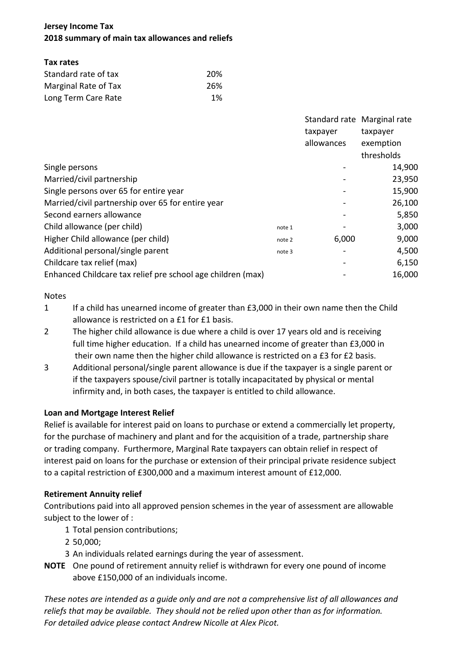# **Jersey Income Tax 2018 summary of main tax allowances and reliefs**

## **Tax rates**

| Standard rate of tax | 20%  |  |  |
|----------------------|------|--|--|
| Marginal Rate of Tax | -26% |  |  |
| Long Term Care Rate  | 1%   |  |  |

|                                                             |        | Standard rate Marginal rate |            |
|-------------------------------------------------------------|--------|-----------------------------|------------|
|                                                             |        | taxpayer                    | taxpayer   |
|                                                             |        | allowances                  | exemption  |
|                                                             |        |                             | thresholds |
| Single persons                                              |        |                             | 14,900     |
| Married/civil partnership                                   |        |                             | 23,950     |
| Single persons over 65 for entire year                      |        |                             | 15,900     |
| Married/civil partnership over 65 for entire year           |        |                             | 26,100     |
| Second earners allowance                                    |        |                             | 5,850      |
| Child allowance (per child)                                 | note 1 |                             | 3,000      |
| Higher Child allowance (per child)                          | note 2 | 6,000                       | 9,000      |
| Additional personal/single parent                           | note 3 |                             | 4,500      |
| Childcare tax relief (max)                                  |        |                             | 6,150      |
| Enhanced Childcare tax relief pre school age children (max) |        |                             | 16,000     |

## Notes

- 1 If a child has unearned income of greater than £3,000 in their own name then the Child allowance is restricted on a £1 for £1 basis.
- 2 The higher child allowance is due where a child is over 17 years old and is receiving full time higher education. If a child has unearned income of greater than £3,000 in their own name then the higher child allowance is restricted on a £3 for £2 basis.
- 3 Additional personal/single parent allowance is due if the taxpayer is a single parent or if the taxpayers spouse/civil partner is totally incapacitated by physical or mental infirmity and, in both cases, the taxpayer is entitled to child allowance.

# **Loan and Mortgage Interest Relief**

Relief is available for interest paid on loans to purchase or extend a commercially let property, for the purchase of machinery and plant and for the acquisition of a trade, partnership share or trading company. Furthermore, Marginal Rate taxpayers can obtain relief in respect of interest paid on loans for the purchase or extension of their principal private residence subject to a capital restriction of £300,000 and a maximum interest amount of £12,000.

# **Retirement Annuity relief**

Contributions paid into all approved pension schemes in the year of assessment are allowable subject to the lower of :

- 1 Total pension contributions;
- 2 50,000;
- 3 An individuals related earnings during the year of assessment.
- **NOTE** One pound of retirement annuity relief is withdrawn for every one pound of income above £150,000 of an individuals income.

*These notes are intended as a guide only and are not a comprehensive list of all allowances and reliefs that may be available. They should not be relied upon other than as for information. For detailed advice please contact Andrew Nicolle at Alex Picot.*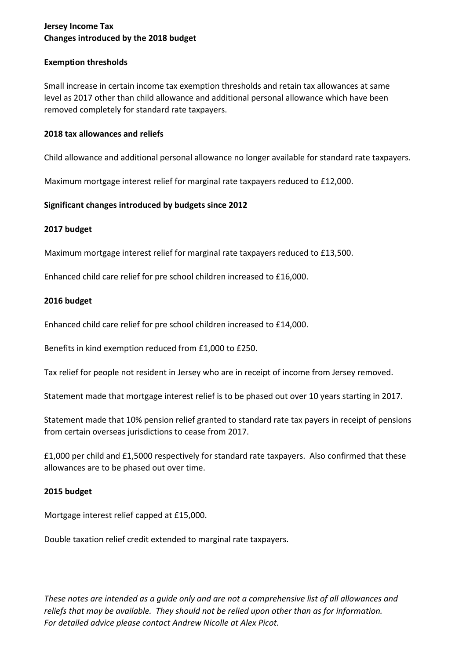# **Jersey Income Tax Changes introduced by the 2018 budget**

#### **Exemption thresholds**

Small increase in certain income tax exemption thresholds and retain tax allowances at same level as 2017 other than child allowance and additional personal allowance which have been removed completely for standard rate taxpayers.

#### **2018 tax allowances and reliefs**

Child allowance and additional personal allowance no longer available for standard rate taxpayers.

Maximum mortgage interest relief for marginal rate taxpayers reduced to £12,000.

## **Significant changes introduced by budgets since 2012**

## **2017 budget**

Maximum mortgage interest relief for marginal rate taxpayers reduced to £13,500.

Enhanced child care relief for pre school children increased to £16,000.

## **2016 budget**

Enhanced child care relief for pre school children increased to £14,000.

Benefits in kind exemption reduced from £1,000 to £250.

Tax relief for people not resident in Jersey who are in receipt of income from Jersey removed.

Statement made that mortgage interest relief is to be phased out over 10 years starting in 2017.

Statement made that 10% pension relief granted to standard rate tax payers in receipt of pensions from certain overseas jurisdictions to cease from 2017.

£1,000 per child and £1,5000 respectively for standard rate taxpayers. Also confirmed that these allowances are to be phased out over time.

#### **2015 budget**

Mortgage interest relief capped at £15,000.

Double taxation relief credit extended to marginal rate taxpayers.

*These notes are intended as a guide only and are not a comprehensive list of all allowances and reliefs that may be available. They should not be relied upon other than as for information. For detailed advice please contact Andrew Nicolle at Alex Picot.*